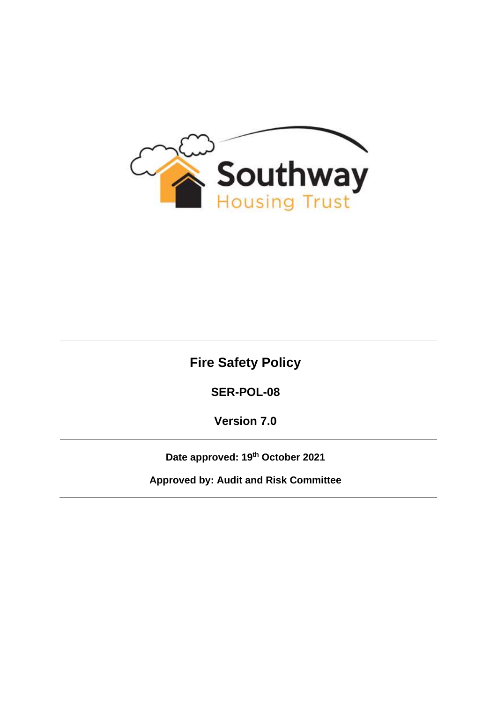

# **Fire Safety Policy**

**SER-POL-08**

**Version 7.0**

**Date approved: 19th October 2021**

**Approved by: Audit and Risk Committee**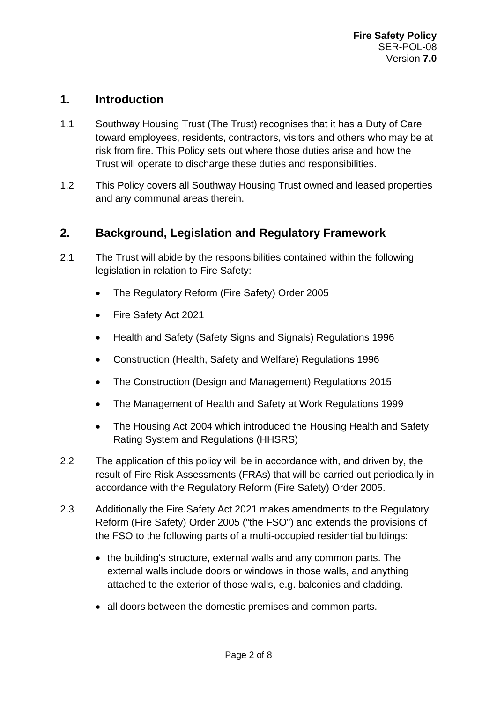#### **1. Introduction**

- 1.1 Southway Housing Trust (The Trust) recognises that it has a Duty of Care toward employees, residents, contractors, visitors and others who may be at risk from fire. This Policy sets out where those duties arise and how the Trust will operate to discharge these duties and responsibilities.
- 1.2 This Policy covers all Southway Housing Trust owned and leased properties and any communal areas therein.

#### **2. Background, Legislation and Regulatory Framework**

- 2.1 The Trust will abide by the responsibilities contained within the following legislation in relation to Fire Safety:
	- The Regulatory Reform (Fire Safety) Order 2005
	- Fire Safety Act 2021
	- Health and Safety (Safety Signs and Signals) Regulations 1996
	- Construction (Health, Safety and Welfare) Regulations 1996
	- The Construction (Design and Management) Regulations 2015
	- The Management of Health and Safety at Work Regulations 1999
	- The Housing Act 2004 which introduced the Housing Health and Safety Rating System and Regulations (HHSRS)
- 2.2 The application of this policy will be in accordance with, and driven by, the result of Fire Risk Assessments (FRAs) that will be carried out periodically in accordance with the Regulatory Reform (Fire Safety) Order 2005.
- 2.3 Additionally the Fire Safety Act 2021 makes amendments to the Regulatory Reform (Fire Safety) Order 2005 ("the FSO") and extends the provisions of the FSO to the following parts of a multi-occupied residential buildings:
	- the building's structure, external walls and any common parts. The external walls include doors or windows in those walls, and anything attached to the exterior of those walls, e.g. balconies and cladding.
	- all doors between the domestic premises and common parts.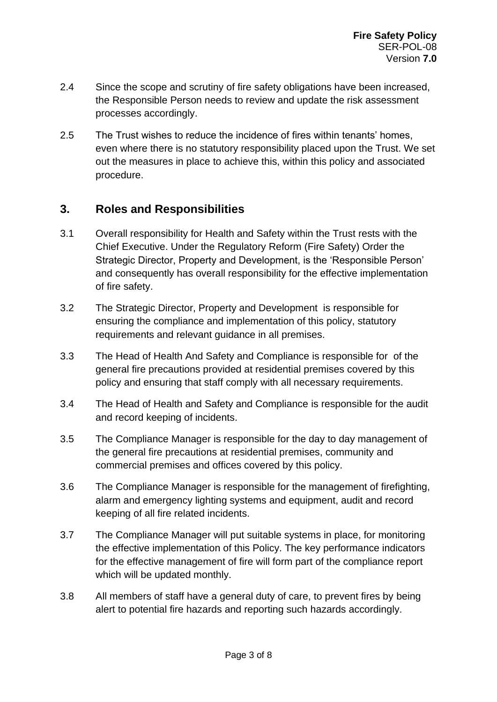- 2.4 Since the scope and scrutiny of fire safety obligations have been increased, the Responsible Person needs to review and update the risk assessment processes accordingly.
- 2.5 The Trust wishes to reduce the incidence of fires within tenants' homes, even where there is no statutory responsibility placed upon the Trust. We set out the measures in place to achieve this, within this policy and associated procedure.

## **3. Roles and Responsibilities**

- 3.1 Overall responsibility for Health and Safety within the Trust rests with the Chief Executive. Under the Regulatory Reform (Fire Safety) Order the Strategic Director, Property and Development, is the 'Responsible Person' and consequently has overall responsibility for the effective implementation of fire safety.
- 3.2 The Strategic Director, Property and Development is responsible for ensuring the compliance and implementation of this policy, statutory requirements and relevant guidance in all premises.
- 3.3 The Head of Health And Safety and Compliance is responsible for of the general fire precautions provided at residential premises covered by this policy and ensuring that staff comply with all necessary requirements.
- 3.4 The Head of Health and Safety and Compliance is responsible for the audit and record keeping of incidents.
- 3.5 The Compliance Manager is responsible for the day to day management of the general fire precautions at residential premises, community and commercial premises and offices covered by this policy.
- 3.6 The Compliance Manager is responsible for the management of firefighting, alarm and emergency lighting systems and equipment, audit and record keeping of all fire related incidents.
- 3.7 The Compliance Manager will put suitable systems in place, for monitoring the effective implementation of this Policy. The key performance indicators for the effective management of fire will form part of the compliance report which will be updated monthly.
- 3.8 All members of staff have a general duty of care, to prevent fires by being alert to potential fire hazards and reporting such hazards accordingly.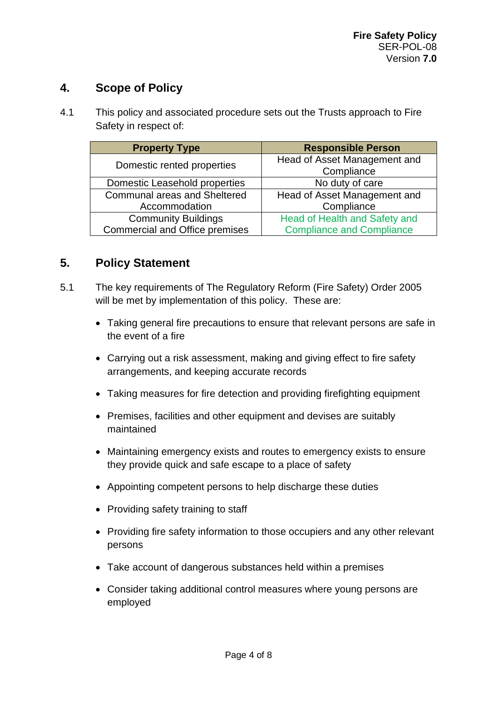# **4. Scope of Policy**

4.1 This policy and associated procedure sets out the Trusts approach to Fire Safety in respect of:

| <b>Property Type</b>                  | <b>Responsible Person</b>        |
|---------------------------------------|----------------------------------|
| Domestic rented properties            | Head of Asset Management and     |
|                                       | Compliance                       |
| Domestic Leasehold properties         | No duty of care                  |
| Communal areas and Sheltered          | Head of Asset Management and     |
| Accommodation                         | Compliance                       |
| <b>Community Buildings</b>            | Head of Health and Safety and    |
| <b>Commercial and Office premises</b> | <b>Compliance and Compliance</b> |

#### **5. Policy Statement**

- 5.1 The key requirements of The Regulatory Reform (Fire Safety) Order 2005 will be met by implementation of this policy. These are:
	- Taking general fire precautions to ensure that relevant persons are safe in the event of a fire
	- Carrying out a risk assessment, making and giving effect to fire safety arrangements, and keeping accurate records
	- Taking measures for fire detection and providing firefighting equipment
	- Premises, facilities and other equipment and devises are suitably maintained
	- Maintaining emergency exists and routes to emergency exists to ensure they provide quick and safe escape to a place of safety
	- Appointing competent persons to help discharge these duties
	- Providing safety training to staff
	- Providing fire safety information to those occupiers and any other relevant persons
	- Take account of dangerous substances held within a premises
	- Consider taking additional control measures where young persons are employed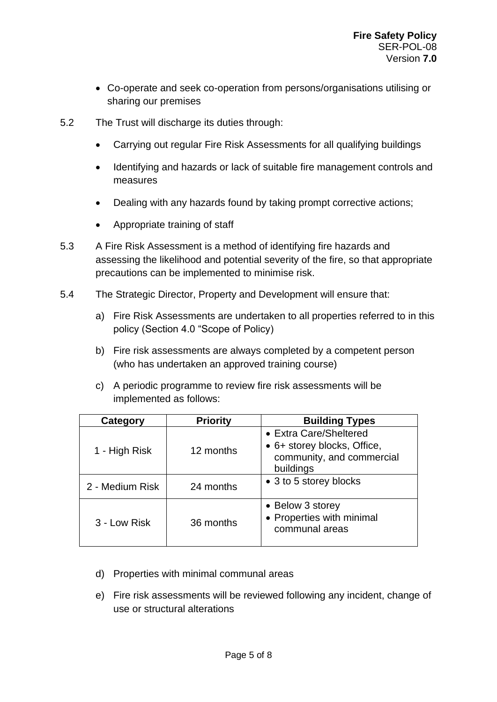- Co-operate and seek co-operation from persons/organisations utilising or sharing our premises
- 5.2 The Trust will discharge its duties through:
	- Carrying out regular Fire Risk Assessments for all qualifying buildings
	- Identifying and hazards or lack of suitable fire management controls and measures
	- Dealing with any hazards found by taking prompt corrective actions;
	- Appropriate training of staff
- 5.3 A Fire Risk Assessment is a method of identifying fire hazards and assessing the likelihood and potential severity of the fire, so that appropriate precautions can be implemented to minimise risk.
- 5.4 The Strategic Director, Property and Development will ensure that:
	- a) Fire Risk Assessments are undertaken to all properties referred to in this policy (Section 4.0 "Scope of Policy)
	- b) Fire risk assessments are always completed by a competent person (who has undertaken an approved training course)
	- c) A periodic programme to review fire risk assessments will be implemented as follows:

| Category        | <b>Priority</b> | <b>Building Types</b>                                                                           |
|-----------------|-----------------|-------------------------------------------------------------------------------------------------|
| 1 - High Risk   | 12 months       | • Extra Care/Sheltered<br>• 6+ storey blocks, Office,<br>community, and commercial<br>buildings |
| 2 - Medium Risk | 24 months       | • 3 to 5 storey blocks                                                                          |
| 3 - Low Risk    | 36 months       | • Below 3 storey<br>• Properties with minimal<br>communal areas                                 |

- d) Properties with minimal communal areas
- e) Fire risk assessments will be reviewed following any incident, change of use or structural alterations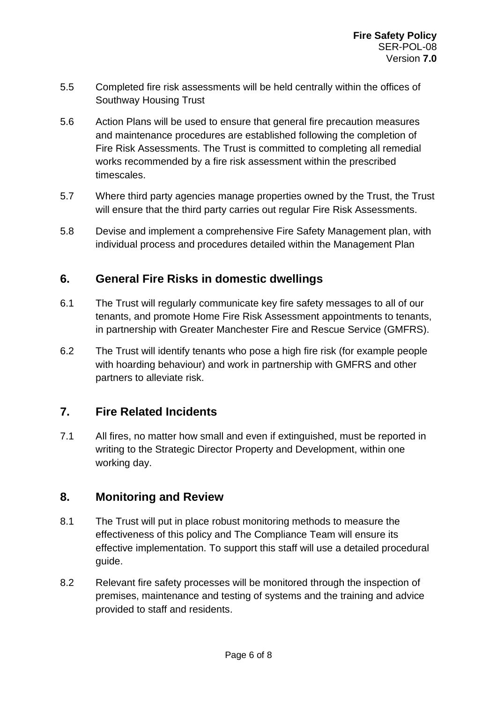- 5.5 Completed fire risk assessments will be held centrally within the offices of Southway Housing Trust
- 5.6 Action Plans will be used to ensure that general fire precaution measures and maintenance procedures are established following the completion of Fire Risk Assessments. The Trust is committed to completing all remedial works recommended by a fire risk assessment within the prescribed timescales.
- 5.7 Where third party agencies manage properties owned by the Trust, the Trust will ensure that the third party carries out regular Fire Risk Assessments.
- 5.8 Devise and implement a comprehensive Fire Safety Management plan, with individual process and procedures detailed within the Management Plan

## **6. General Fire Risks in domestic dwellings**

- 6.1 The Trust will regularly communicate key fire safety messages to all of our tenants, and promote Home Fire Risk Assessment appointments to tenants, in partnership with Greater Manchester Fire and Rescue Service (GMFRS).
- 6.2 The Trust will identify tenants who pose a high fire risk (for example people with hoarding behaviour) and work in partnership with GMFRS and other partners to alleviate risk.

## **7. Fire Related Incidents**

7.1 All fires, no matter how small and even if extinguished, must be reported in writing to the Strategic Director Property and Development, within one working day.

## **8. Monitoring and Review**

- 8.1 The Trust will put in place robust monitoring methods to measure the effectiveness of this policy and The Compliance Team will ensure its effective implementation. To support this staff will use a detailed procedural guide.
- 8.2 Relevant fire safety processes will be monitored through the inspection of premises, maintenance and testing of systems and the training and advice provided to staff and residents.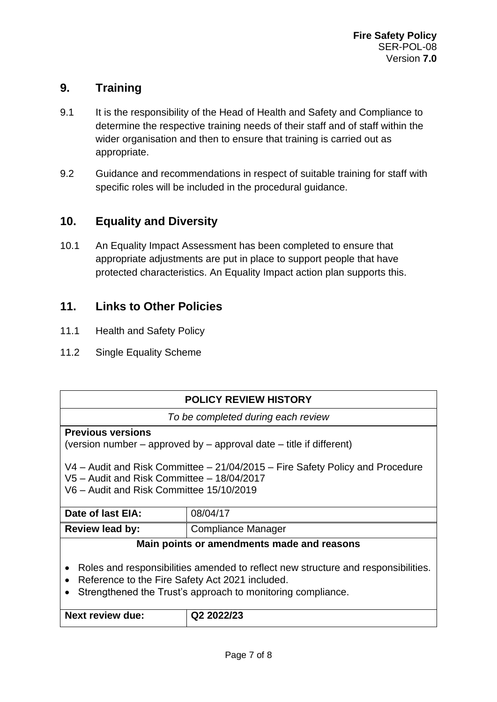# **9. Training**

- 9.1 It is the responsibility of the Head of Health and Safety and Compliance to determine the respective training needs of their staff and of staff within the wider organisation and then to ensure that training is carried out as appropriate.
- 9.2 Guidance and recommendations in respect of suitable training for staff with specific roles will be included in the procedural guidance.

## **10. Equality and Diversity**

10.1 An Equality Impact Assessment has been completed to ensure that appropriate adjustments are put in place to support people that have protected characteristics. An Equality Impact action plan supports this.

## **11. Links to Other Policies**

- 11.1 Health and Safety Policy
- 11.2 Single Equality Scheme

| <b>POLICY REVIEW HISTORY</b>                                                           |                                            |  |  |
|----------------------------------------------------------------------------------------|--------------------------------------------|--|--|
| To be completed during each review                                                     |                                            |  |  |
| <b>Previous versions</b>                                                               |                                            |  |  |
| (version number – approved by – approval date – title if different)                    |                                            |  |  |
|                                                                                        |                                            |  |  |
| $V4$ – Audit and Risk Committee – 21/04/2015 – Fire Safety Policy and Procedure        |                                            |  |  |
| V5 - Audit and Risk Committee - 18/04/2017                                             |                                            |  |  |
| V6 - Audit and Risk Committee 15/10/2019                                               |                                            |  |  |
|                                                                                        |                                            |  |  |
| Date of last EIA:                                                                      | 08/04/17                                   |  |  |
| <b>Review lead by:</b>                                                                 | Compliance Manager                         |  |  |
|                                                                                        | Main points or amendments made and reasons |  |  |
|                                                                                        |                                            |  |  |
| Roles and responsibilities amended to reflect new structure and responsibilities.<br>٠ |                                            |  |  |
| Reference to the Fire Safety Act 2021 included.                                        |                                            |  |  |
| Strengthened the Trust's approach to monitoring compliance.                            |                                            |  |  |
|                                                                                        |                                            |  |  |
| <b>Next review due:</b>                                                                | Q2 2022/23                                 |  |  |